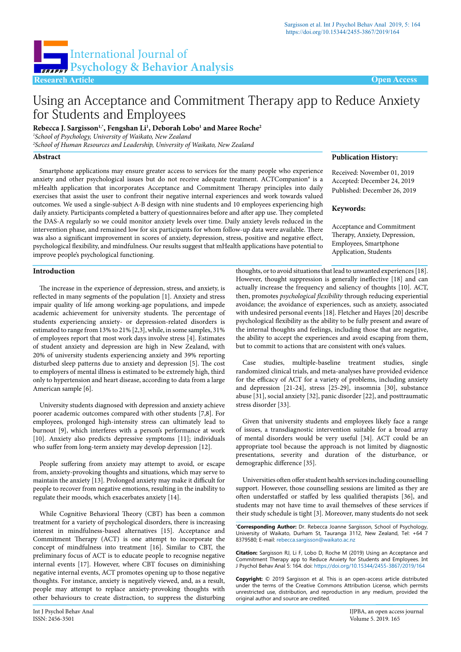**Publication History:**

**Keywords:**

Received: November 01, 2019 Accepted: December 24, 2019 Published: December 26, 2019

Acceptance and Commitment Therapy, Anxiety, Depression, Employees, Smartphone Application, Students



# Using an Acceptance and Commitment Therapy app to Reduce Anxiety for Students and Employees

**Rebecca J. Sargisson1,\*, Fengshan Li1 , Deborah Lobo1 and Maree Roche2**

*1 School of Psychology, University of Waikato, New Zealand*

*2 School of Human Resources and Leadership, University of Waikato, New Zealand*

## **Abstract**

Smartphone applications may ensure greater access to services for the many people who experience anxiety and other psychological issues but do not receive adequate treatment. ACTCompanion® is a mHealth application that incorporates Acceptance and Commitment Therapy principles into daily exercises that assist the user to confront their negative internal experiences and work towards valued outcomes. We used a single-subject A-B design with nine students and 10 employees experiencing high daily anxiety. Participants completed a battery of questionnaires before and after app use. They completed the DAS-A regularly so we could monitor anxiety levels over time. Daily anxiety levels reduced in the intervention phase, and remained low for six participants for whom follow-up data were available. There was also a significant improvement in scores of anxiety, depression, stress, positive and negative effect, psychological flexibility, and mindfulness. Our results suggest that mHealth applications have potential to improve people's psychological functioning.

## **Introduction**

The increase in the experience of depression, stress, and anxiety, is reflected in many segments of the population [1]. Anxiety and stress impair quality of life among working-age populations, and impede academic achievement for university students. The percentage of students experiencing anxiety- or depression-related disorders is estimated to range from 13% to 21% [2,3], while, in some samples, 31% of employees report that most work days involve stress [4]. Estimates of student anxiety and depression are high in New Zealand, with 20% of university students experiencing anxiety and 39% reporting disturbed sleep patterns due to anxiety and depression [5]. The cost to employers of mental illness is estimated to be extremely high, third only to hypertension and heart disease, according to data from a large American sample [6].

University students diagnosed with depression and anxiety achieve poorer academic outcomes compared with other students [7,8]. For employees, prolonged high-intensity stress can ultimately lead to burnout [9], which interferes with a person's performance at work [10]. Anxiety also predicts depressive symptoms [11]; individuals who suffer from long-term anxiety may develop depression [12].

People suffering from anxiety may attempt to avoid, or escape from, anxiety-provoking thoughts and situations, which may serve to maintain the anxiety [13]. Prolonged anxiety may make it difficult for people to recover from negative emotions, resulting in the inability to regulate their moods, which exacerbates anxiety [14].

While Cognitive Behavioral Theory (CBT) has been a common treatment for a variety of psychological disorders, there is increasing interest in mindfulness-based alternatives [15]. Acceptance and Commitment Therapy (ACT) is one attempt to incorporate the concept of mindfulness into treatment [16]. Similar to CBT, the preliminary focus of ACT is to educate people to recognise negative internal events [17]. However, where CBT focuses on diminishing negative internal events, ACT promotes opening up to those negative thoughts. For instance, anxiety is negatively viewed, and, as a result, people may attempt to replace anxiety-provoking thoughts with other behaviours to create distraction, to suppress the disturbing

thoughts, or to avoid situations that lead to unwanted experiences [18]. However, thought suppression is generally ineffective [18] and can actually increase the frequency and saliency of thoughts [10]. ACT, then, promotes *psychological flexibility* through reducing experiential avoidance; the avoidance of experiences, such as anxiety, associated with undesired personal events [18]. Fletcher and Hayes [20] describe psychological flexibility as the ability to be fully present and aware of the internal thoughts and feelings, including those that are negative, the ability to accept the experiences and avoid escaping from them, but to commit to actions that are consistent with one's values.

Case studies, multiple-baseline treatment studies, single randomized clinical trials, and meta-analyses have provided evidence for the efficacy of ACT for a variety of problems, including anxiety and depression [21-24], stress [25-29], insomnia [30], substance abuse [31], social anxiety [32], panic disorder [22], and posttraumatic stress disorder [33].

Given that university students and employees likely face a range of issues, a transdiagnostic intervention suitable for a broad array of mental disorders would be very useful [34]. ACT could be an appropriate tool because the approach is not limited by diagnostic presentations, severity and duration of the disturbance, or demographic difference [35].

Universities often offer student health services including counselling support. However, those counselling sessions are limited as they are often understaffed or staffed by less qualified therapists [36], and students may not have time to avail themselves of these services if their study schedule is tight [3]. Moreover, many students do not seek

**\* Corresponding Author:** Dr. Rebecca Joanne Sargisson, School of Psychology, University of Waikato, Durham St, Tauranga 3112, New Zealand, Tel: +64 7 8379580; E-mail: rebecca.sargisson@waikato.ac.nz

**Citation:** Sargisson RJ, Li F, Lobo D, Roche M (2019) Using an Acceptance and Commitment Therapy app to Reduce Anxiety for Students and Employees. Int J Psychol Behav Anal 5: 164. doi: <https://doi.org/10.15344/2455-3867/2019/164>

**Copyright:** © 2019 Sargisson et al. This is an open-access article distributed under the terms of the Creative Commons Attribution License, which permits unrestricted use, distribution, and reproduction in any medium, provided the original author and source are credited.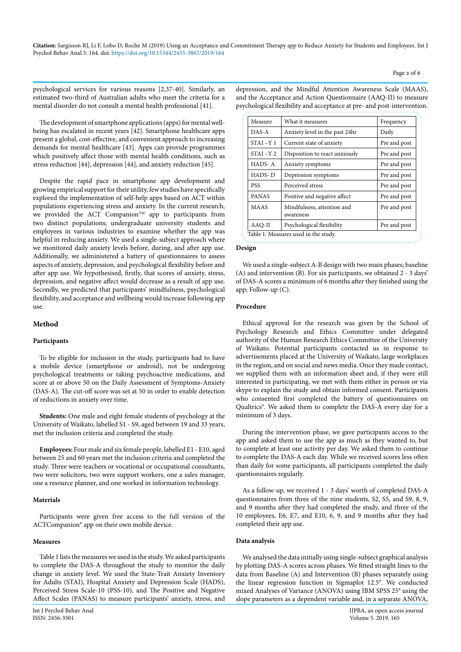Pre and post

psychological services for various reasons [2,37-40]. Similarly, an estimated two-third of Australian adults who meet the criteria for a mental disorder do not consult a mental health professional [41].

The development of smartphone applications (apps) for mental wellbeing has escalated in recent years [42]. Smartphone healthcare apps present a global, cost-effective, and convenient approach to increasing demands for mental healthcare [43]. Apps can provide programmes which positively affect those with mental health conditions, such as stress reduction [44], depression [44], and anxiety reduction [45].

Despite the rapid pace in smartphone app development and growing empirical support for their utility, few studies have specifically explored the implementation of self-help apps based on ACT within populations experiencing stress and anxiety. In the current research, we provided the ACT Companion<sup>TM</sup> app to participants from two distinct populations; undergraduate university students and employees in various industries to examine whether the app was helpful in reducing anxiety. We used a single-subject approach where we monitored daily anxiety levels before, during, and after app use. Additionally, we administered a battery of questionnaires to assess aspects of anxiety, depression, and psychological flexibility before and after app use. We hypothesised, firstly, that scores of anxiety, stress, depression, and negative affect would decrease as a result of app use. Secondly, we predicted that participants' mindfulness, psychological flexibility, and acceptance and wellbeing would increase following app use.

## **Method**

#### **Participants**

To be eligible for inclusion in the study, participants had to have a mobile device (smartphone or android), not be undergoing psychological treatments or taking psychoactive medications, and score at or above 50 on the Daily Assessment of Symptoms-Anxiety (DAS-A). The cut-off score was set at 50 in order to enable detection of reductions in anxiety over time.

**Students:** One male and eight female students of psychology at the University of Waikato, labelled S1 - S9, aged between 19 and 33 years, met the inclusion criteria and completed the study.

**Employees:** Four male and six female people, labelled E1 - E10, aged between 25 and 60 years met the inclusion criteria and completed the study. Three were teachers or vocational or occupational consultants, two were solicitors, two were support workers, one a sales manager, one a resource planner, and one worked in information technology.

#### **Materials**

Participants were given free access to the full version of the ACTCompanion® app on their own mobile device.

# **Measures**

Table 1 lists the measures we used in the study. We asked participants to complete the DAS-A throughout the study to monitor the daily change in anxiety level. We used the State-Trait Anxiety Inventory for Adults (STAI), Hospital Anxiety and Depression Scale (HADS), Perceived Stress Scale-10 (PSS-10), and The Positive and Negative Affect Scales (PANAS) to measure participants' anxiety, stress, and

depression, and the Mindful Attention Awareness Scale (MAAS), and the Acceptance and Action Questionnaire (AAQ-II) to measure psychological flexibility and acceptance at pre- and post-intervention.

Measure What it measures Frequency DAS-A Anxiety level in the past 24hr Daily STAI –Y 1 Current state of anxiety Pre and post STAI –Y 2 Disposition to react anxiously Pre and post HADS- A Anxiety symptoms Pre and post  $HADS-D$  Depression symptoms Pre and post PSS Perceived stress Pre and post PANAS Positive and negative affect Pre and post

|        | Table 1: Measures used in the study. |  |  |
|--------|--------------------------------------|--|--|
|        |                                      |  |  |
| Design |                                      |  |  |

We used a single-subject A-B design with two main phases; baseline (A) and intervention (B). For six participants, we obtained 2 - 3 days' of DAS-A scores a minimum of 6 months after they finished using the

AAQ-II Psychological flexibility Pre and post

MAAS Mindfulness, attention and awareness

## **Procedure**

app; Follow-up (C).

Ethical approval for the research was given by the School of Psychology Research and Ethics Committee under delegated authority of the Human Research Ethics Committee of the University of Waikato. Potential participants contacted us in response to advertisements placed at the University of Waikato, large workplaces in the region, and on social and news media. Once they made contact, we supplied them with an information sheet and, if they were still interested in participating, we met with them either in person or via skype to explain the study and obtain informed consent. Participants who consented first completed the battery of questionnaires on Qualtrics®. We asked them to complete the DAS-A every day for a minimum of 3 days.

During the intervention phase, we gave participants access to the app and asked them to use the app as much as they wanted to, but to complete at least one activity per day. We asked them to continue to complete the DAS-A each day. While we received scores less often than daily for some participants, all participants completed the daily questionnaires regularly.

As a follow-up, we received 1 - 3 days' worth of completed DAS-A questionnaires from three of the nine students, S2, S5, and S9, 8, 9, and 9 months after they had completed the study, and three of the 10 employees, E6, E7, and E10, 6, 9, and 9 months after they had completed their app use.

# **Data analysis**

We analysed the data initially using single-subject graphical analysis by plotting DAS-A scores across phases. We fitted straight lines to the data from Baseline (A) and Intervention (B) phases separately using the linear regression function in Sigmaplot 12.5®. We conducted mixed Analyses of Variance (ANOVA) using IBM SPSS 25® using the slope parameters as a dependent variable and, in a separate ANOVA,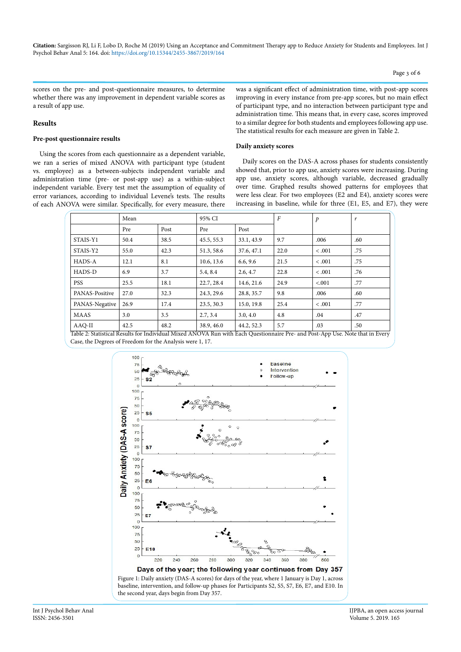scores on the pre- and post-questionnaire measures, to determine whether there was any improvement in dependent variable scores as a result of app use.

## **Results**

#### **Pre-post questionnaire results**

Using the scores from each questionnaire as a dependent variable, we ran a series of mixed ANOVA with participant type (student vs. employee) as a between-subjects independent variable and administration time (pre- or post-app use) as a within-subject independent variable. Every test met the assumption of equality of error variances, according to individual Levene's tests. The results of each ANOVA were similar. Specifically, for every measure, there

was a significant effect of administration time, with post-app scores improving in every instance from pre-app scores, but no main effect of participant type, and no interaction between participant type and administration time. This means that, in every case, scores improved to a similar degree for both students and employees following app use. The statistical results for each measure are given in Table 2.

#### **Daily anxiety scores**

Daily scores on the DAS-A across phases for students consistently showed that, prior to app use, anxiety scores were increasing. During app use, anxiety scores, although variable, decreased gradually over time. Graphed results showed patterns for employees that were less clear. For two employees (E2 and E4), anxiety scores were increasing in baseline, while for three (E1, E5, and E7), they were

|                | Mean |      | 95% CI     |            | $\boldsymbol{F}$ | $\mathcal{P}$ | r   |
|----------------|------|------|------------|------------|------------------|---------------|-----|
|                | Pre  | Post | Pre        | Post       |                  |               |     |
| STAIS-Y1       | 50.4 | 38.5 | 45.5, 55.3 | 33.1, 43.9 | 9.7              | .006          | .60 |
| STAIS-Y2       | 55.0 | 42.3 | 51.3, 58.6 | 37.6, 47.1 | 22.0             | < .001        | .75 |
| HADS-A         | 12.1 | 8.1  | 10.6, 13.6 | 6.6, 9.6   | 21.5             | < .001        | .75 |
| HADS-D         | 6.9  | 3.7  | 5.4, 8.4   | 2.6, 4.7   | 22.8             | < .001        | .76 |
| <b>PSS</b>     | 25.5 | 18.1 | 22.7, 28.4 | 14.6, 21.6 | 24.9             | < .001        | .77 |
| PANAS-Positive | 27.0 | 32.3 | 24.3, 29.6 | 28.8, 35.7 | 9.8              | .006          | .60 |
| PANAS-Negative | 26.9 | 17.4 | 23.5, 30.3 | 15.0, 19.8 | 25.4             | < .001        | .77 |
| <b>MAAS</b>    | 3.0  | 3.5  | 2.7, 3.4   | 3.0, 4.0   | 4.8              | .04           | .47 |
| AAQ-II         | 42.5 | 48.2 | 38.9, 46.0 | 44.2, 52.3 | 5.7              | .03           | .50 |

Table 2: Statistical Results for Individual Mixed ANOVA Run with Each Questionnaire Pre- and Post-App Use. Note that in Every Case, the Degrees of Freedom for the Analysis were 1, 17.



baseline, intervention, and follow-up phases for Participants S2, S5, S7, E6, E7, and E10. In the second year, days begin from Day 357.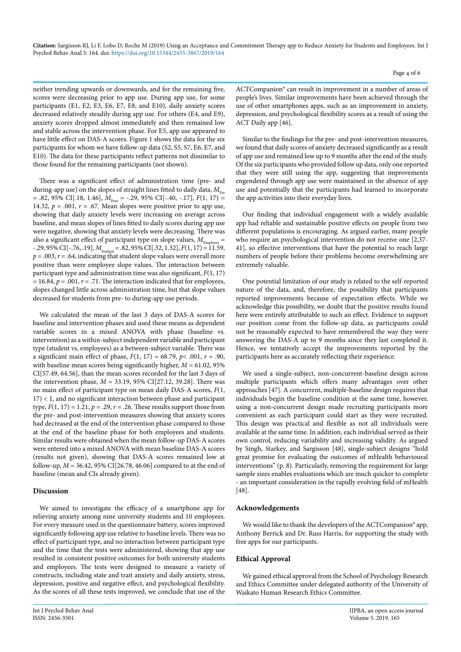neither trending upwards or downwards, and for the remaining five, scores were decreasing prior to app use. During app use, for some participants (E1, E2, E3, E6, E7, E8, and E10), daily anxiety scores decreased relatively steadily during app use. For others (E4, and E9), anxiety scores dropped almost immediately and then remained low and stable across the intervention phase. For E5, app use appeared to have little effect on DAS-A scores. Figure 1 shows the data for the six participants for whom we have follow-up data (S2, S5, S7, E6, E7, and E10). The data for these participants reflect patterns not dissimilar to those found for the remaining participants (not shown).

There was a significant effect of administration time (pre- and during-app use) on the slopes of straight lines fitted to daily data,  $M_{\rm Pre}$  $= .82, 95\% \text{ CI}$ [.18, 1.46],  $M_{\text{post}} = -.29, 95\% \text{ CI}$ [-.40, -.17],  $F(1, 17) =$ 14.32,  $p = .001$ ,  $r = .67$ . Mean slopes were positive prior to app use, showing that daily anxiety levels were increasing on average across baseline, and mean slopes of lines fitted to daily scores during app use were negative, showing that anxiety levels were decreasing. There was also a significant effect of participant type on slope values,  $M_{\text{Employee}} =$  $-29,95\%$  CI[ $-76, 19$ ],  $M_{\text{Student}} = .82,95\%$  CI[ $.32, 1.32$ ],  $F(1, 17) = 11.59$ ,  $p = .003$ ,  $r = .64$ , indicating that student slope values were overall more positive than were employee slope values. The interaction between participant type and administration time was also significant, *F*(1, 17)  $p = 16.84$ ,  $p = .001$ ,  $r = .71$ . The interaction indicated that for employees, slopes changed little across administration time, but that slope values decreased for students from pre- to during-app use periods.

We calculated the mean of the last 3 days of DAS-A scores for baseline and intervention phases and used these means as dependent variable scores in a mixed ANOVA with phase (baseline vs. intervention) as a within-subject independent variable and participant type (student vs. employees) as a between-subject variable. There was a significant main effect of phase, *F*(1, 17) = 68.79, *p*< .001, *r* = .90, with baseline mean scores being significantly higher, *M* = 61.02, 95% CI[57.49, 64.56], than the mean scores recorded for the last 3 days of the intervention phase, *M* = 33.19, 95% CI[27.12, 39.28]. There was no main effect of participant type on mean daily DAS-A scores, *F*(1, 17) < 1, and no significant interaction between phase and participant type,  $F(1, 17) = 1.21$ ,  $p = .29$ ,  $r = .26$ . These results support those from the pre- and post-intervention measures showing that anxiety scores had decreased at the end of the intervention phase compared to those at the end of the baseline phase for both employees and students. Similar results were obtained when the mean follow-up DAS-A scores were entered into a mixed ANOVA with mean baseline DAS-A scores (results not given), showing that DAS-A scores remained low at follow-up, *M* = 36.42, 95% CI[26.78, 46.06] compared to at the end of baseline (mean and CIs already given).

# **Discussion**

We aimed to investigate the efficacy of a smartphone app for relieving anxiety among nine university students and 10 employees. For every measure used in the questionnaire battery, scores improved significantly following app use relative to baseline levels. There was no effect of participant type, and no interaction between participant type and the time that the tests were administered, showing that app use resulted in consistent positive outcomes for both university students and employees. The tests were designed to measure a variety of constructs, including state and trait anxiety and daily anxiety, stress, depression, positive and negative effect, and psychological flexibility. As the scores of all these tests improved, we conclude that use of the ACTCompanion® can result in improvement in a number of areas of people's lives. Similar improvements have been achieved through the use of other smartphones apps, such as an improvement in anxiety, depression, and psychological flexibility scores as a result of using the ACT Daily app [46].

Similar to the findings for the pre- and post-intervention measures, we found that daily scores of anxiety decreased significantly as a result of app use and remained low up to 9 months after the end of the study. Of the six participants who provided follow up data, only one reported that they were still using the app, suggesting that improvements engendered through app use were maintained in the absence of app use and potentially that the participants had learned to incorporate the app activities into their everyday lives.

Our finding that individual engagement with a widely available app had reliable and sustainable positive effects on people from two different populations is encouraging. As argued earlier, many people who require an psychological intervention do not receive one [2,37- 41], so effective interventions that have the potential to reach large numbers of people before their problems become overwhelming are extremely valuable.

One potential limitation of our study is related to the self-reported nature of the data, and, therefore, the possibility that participants reported improvements because of expectation effects. While we acknowledge this possibility, we doubt that the positive results found here were entirely attributable to such an effect. Evidence to support our position come from the follow-up data, as participants could not be reasonably expected to have remembered the way they were answering the DAS-A up to 9 months since they last completed it. Hence, we tentatively accept the improvements reported by the participants here as accurately reflecting their experience.

We used a single-subject, non-concurrent-baseline design across multiple participants which offers many advantages over other approaches [47]. A concurrent, multiple-baseline design requires that individuals begin the baseline condition at the same time, however, using a non-concurrent design made recruiting participants more convenient as each participant could start as they were recruited. This design was practical and flexible as not all individuals were available at the same time. In addition, each individual served as their own control, reducing variability and increasing validity. As argued by Singh, Starkey, and Sargisson [48], single-subject designs "hold great promise for evaluating the outcomes of mHealth behavioural interventions" (p. 8). Particularly, removing the requirement for large sample sizes enables evaluations which are much quicker to complete - an important consideration in the rapidly evolving field of mHealth [48].

# **Acknowledgements**

We would like to thank the developers of the ACTCompanion® app, Anthony Berrick and Dr. Russ Harris, for supporting the study with free apps for our participants.

# **Ethical Approval**

We gained ethical approval from the School of Psychology Research and Ethics Committee under delegated authority of the University of Waikato Human Research Ethics Committee.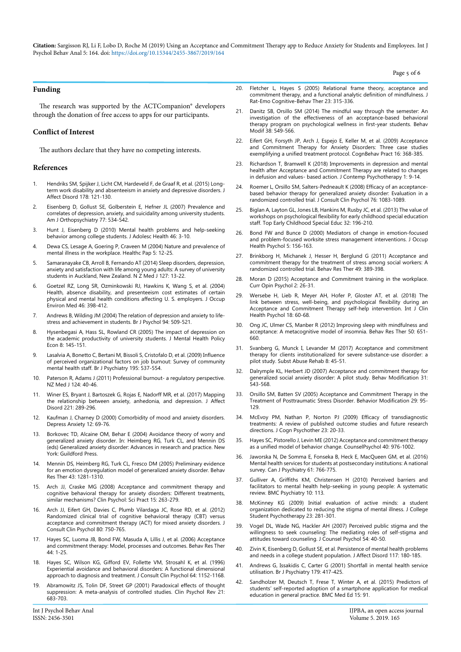Page 5 of 6

## **Funding**

The research was supported by the ACTCompanion® developers through the donation of free access to apps for our participants.

## **Conflict of Interest**

The authors declare that they have no competing interests.

#### **References**

- 1. [Hendriks SM, Spijker J, Licht CM, Hardeveld F, de Graaf R, et al. \(2015\) Long](https://www.ncbi.nlm.nih.gov/pubmed/25805404)[term work disability and absenteeism in anxiety and depressive disorders. J](https://www.ncbi.nlm.nih.gov/pubmed/25805404)  [Affect Disord 178: 121-130.](https://www.ncbi.nlm.nih.gov/pubmed/25805404)
- 2. [Eisenberg D, Gollust SE, Golberstein E, Hefner JL \(2007\) Prevalence and](https://www.ncbi.nlm.nih.gov/pubmed/18194033)  [correlates of depression, anxiety, and suicidality among university students.](https://www.ncbi.nlm.nih.gov/pubmed/18194033)  [Am J Orthopsychiatry 77: 534-542.](https://www.ncbi.nlm.nih.gov/pubmed/18194033)
- 3. [Hunt J, Eisenberg D \(2010\) Mental health problems and help-seeking](https://www.ncbi.nlm.nih.gov/pubmed/20123251)  [behavior among college students. J Adolesc Health 46: 3-10.](https://www.ncbi.nlm.nih.gov/pubmed/20123251)
- 4. [Dewa CS, Lesage A, Goering P, Craveen M \(2004\) Nature and prevalence of](https://www.ncbi.nlm.nih.gov/pubmed/15829761)  [mental illness in the workplace. Healthc Pap 5: 12-25.](https://www.ncbi.nlm.nih.gov/pubmed/15829761)
- 5. [Samaranayake CB, Arroll B, Fernando AT \(2014\) Sleep disorders, depression,](https://www.ncbi.nlm.nih.gov/pubmed/25145302)  [anxiety and satisfaction with life among young adults: A survey of university](https://www.ncbi.nlm.nih.gov/pubmed/25145302)  [students in Auckland, New Zealand. N Z Med J 127: 13-22.](https://www.ncbi.nlm.nih.gov/pubmed/25145302)
- 6. [Goetzel RZ, Long SR, Ozminkowski RJ, Hawkins K, Wang S, et al. \(2004\)](https://www.ncbi.nlm.nih.gov/pubmed/15076658)  [Health, absence disability, and presenteeism cost estimates of certain](https://www.ncbi.nlm.nih.gov/pubmed/15076658)  [physical and mental health conditions affecting U. S. employers. J Occup](https://www.ncbi.nlm.nih.gov/pubmed/15076658)  [Environ Med 46: 398-412.](https://www.ncbi.nlm.nih.gov/pubmed/15076658)
- 7. [Andrews B, Wilding JM \(2004\) The relation of depression and anxiety to life](https://www.ncbi.nlm.nih.gov/pubmed/15527535)[stress and achievement in students. Br J Psychol 94: 509-521.](https://www.ncbi.nlm.nih.gov/pubmed/15527535)
- 8. [Hysenbegasi A, Hass SL, Rowland CR \(2005\) The impact of depression on](https://www.ncbi.nlm.nih.gov/pubmed/16278502)  [the academic productivity of university students. J Mental Health Policy](https://www.ncbi.nlm.nih.gov/pubmed/16278502)  [Econ 8: 145-151.](https://www.ncbi.nlm.nih.gov/pubmed/16278502)
- 9. [Lasalvia A, Bonetto C, Bertani M, Bissoli S, Cristofalo D, et al. \(2009\) Influence](https://www.ncbi.nlm.nih.gov/pubmed/19949206)  [of perceived organizational factors on job burnout: Survey of community](https://www.ncbi.nlm.nih.gov/pubmed/19949206)  [mental health staff. Br J Psychiatry 195: 537-554.](https://www.ncbi.nlm.nih.gov/pubmed/19949206)
- 10. Paterson R, Adams J (2011) Professional burnout- a regulatory perspective. [NZ Med J 124: 40-46.](https://www.ncbi.nlm.nih.gov/pubmed/21750594)
- 11. [Winer ES, Bryant J, Bartoszek G, Rojas E, Nadorff MR, et al. \(2017\) Mapping](https://www.ncbi.nlm.nih.gov/pubmed/28668590)  [the relationship between anxiety, anhedonia, and depression. J Affect](https://www.ncbi.nlm.nih.gov/pubmed/28668590)  [Disord 221: 289-296.](https://www.ncbi.nlm.nih.gov/pubmed/28668590)
- 12. [Kaufman J, Charney D \(2000\) Comorbidity of mood and anxiety disorders.](https://www.ncbi.nlm.nih.gov/pubmed/11098417)  [Depress Anxiety 12: 69-76.](https://www.ncbi.nlm.nih.gov/pubmed/11098417)
- 13. [Borkovec TD, Alcaine OM, Behar E \(2004\) Avoidance theory of worry and](https://psycnet.apa.org/record/2004-16375-004)  [generalized anxiety disorder. In: Heimberg RG, Turk CL, and Mennin DS](https://psycnet.apa.org/record/2004-16375-004)  [\(eds\) Generalized anxiety disorder: Advances in research and practice. New](https://psycnet.apa.org/record/2004-16375-004)  [York: Guildford Press.](https://psycnet.apa.org/record/2004-16375-004)
- 14. [Mennin DS, Heimberg RG, Turk CL, Fresco DM \(2005\) Preliminary evidence](https://www.ncbi.nlm.nih.gov/pubmed/16086981)  [for an emotion dysregulation model of generalized anxiety disorder. Behav](https://www.ncbi.nlm.nih.gov/pubmed/16086981)  [Res Ther 43: 1281-1310.](https://www.ncbi.nlm.nih.gov/pubmed/16086981)
- 15. [Arch JJ, Craske MG \(2008\) Acceptance and commitment therapy and](https://onlinelibrary.wiley.com/doi/abs/10.1111/j.1468-2850.2008.00137.x)  [cognitive behavioral therapy for anxiety disorders: Different treatments,](https://onlinelibrary.wiley.com/doi/abs/10.1111/j.1468-2850.2008.00137.x)  [similar mechanisms? Clin Psychol: Sci Pract 15: 263-279.](https://onlinelibrary.wiley.com/doi/abs/10.1111/j.1468-2850.2008.00137.x)
- 16. [Arch JJ, Eifert GH, Davies C, Plumb Vilardaga JC, Rose RD, et al. \(2012\)](https://www.ncbi.nlm.nih.gov/pubmed/22563639)  [Randomized clinical trial of cognitive behavioral therapy \(CBT\) versus](https://www.ncbi.nlm.nih.gov/pubmed/22563639)  [acceptance and commitment therapy \(ACT\) for mixed anxiety disorders. J](https://www.ncbi.nlm.nih.gov/pubmed/22563639)  [Consult Clin Psychol 80: 750-765.](https://www.ncbi.nlm.nih.gov/pubmed/22563639)
- 17. [Hayes SC, Luoma JB, Bond FW, Masuda A, Lillis J, et al. \(2006\) Acceptance](https://www.ncbi.nlm.nih.gov/pubmed/16300724)  [and commitment therapy: Model, processes and outcomes. Behav Res Ther](https://www.ncbi.nlm.nih.gov/pubmed/16300724)  [44: 1-25.](https://www.ncbi.nlm.nih.gov/pubmed/16300724)
- 18. [Hayes SC, Wilson KG, Gifford EV, Follette VM, Strosahl K, et al. \(1996\)](https://www.ncbi.nlm.nih.gov/pubmed/8991302)  [Experiential avoidance and behavioral disorders: A functional dimensional](https://www.ncbi.nlm.nih.gov/pubmed/8991302)  [approach to diagnosis and treatment. J Consult Clin Psychol 64: 1152-1168.](https://www.ncbi.nlm.nih.gov/pubmed/8991302)
- 19. [Abramowitz JS, Tolin DF, Street GP \(2001\) Paradoxical effects of thought](https://www.ncbi.nlm.nih.gov/pubmed/11434226)  [suppression: A meta-analysis of controlled studies. Clin Psychol Rev 21:](https://www.ncbi.nlm.nih.gov/pubmed/11434226)  [683-703.](https://www.ncbi.nlm.nih.gov/pubmed/11434226)
- 20. [Fletcher L, Hayes S \(2005\) Relational frame theory, acceptance and](https://link.springer.com/article/10.1007/s10942-005-0017-7)  [commitment therapy, and a functional analytic definition of mindfulness. J](https://link.springer.com/article/10.1007/s10942-005-0017-7)  [Rat-Emo Cognitive-Behav Ther 23: 315-336.](https://link.springer.com/article/10.1007/s10942-005-0017-7)
- 21. [Danitz SB, Orsillo SM \(2014\) The mindful way through the semester: An](https://www.ncbi.nlm.nih.gov/pubmed/24452372)  [investigation of the effectiveness of an acceptance-based behavioral](https://www.ncbi.nlm.nih.gov/pubmed/24452372)  [therapy program on psychological wellness in first-year students. Behav](https://www.ncbi.nlm.nih.gov/pubmed/24452372)  [Modif 38: 549-566.](https://www.ncbi.nlm.nih.gov/pubmed/24452372)
- 22. [Eifert GH, Forsyth JP, Arch J, Espejo E, Keller M, et al. \(2009\) Acceptance](https://www.sciencedirect.com/science/article/abs/pii/S1077722909000911)  [and Commitment Therapy for Anxiety Disorders: Three case studies](https://www.sciencedirect.com/science/article/abs/pii/S1077722909000911)  [exemplifying a unified treatment protocol. CognBehav Pract 16: 368-385.](https://www.sciencedirect.com/science/article/abs/pii/S1077722909000911)
- 23. [Richardson T, Bramwell K \(2018\) Improvements in depression and mental](https://www.ncbi.nlm.nih.gov/pubmed/29515268)  [health after Acceptance and Commitment Therapy are related to changes](https://www.ncbi.nlm.nih.gov/pubmed/29515268)  [in defusion and values- based action. J Contemp Psychotherapy 1: 9-14.](https://www.ncbi.nlm.nih.gov/pubmed/29515268)
- 24. [Roemer L, Orsillo SM, Salters-Pedneault K \(2008\) Efficacy of an acceptance](https://www.ncbi.nlm.nih.gov/pubmed/19045976)[based behavior therapy for generalized anxiety disorder: Evaluation in a](https://www.ncbi.nlm.nih.gov/pubmed/19045976)  [randomized controlled trial. J Consult Clin Psychol 76: 1083-1089.](https://www.ncbi.nlm.nih.gov/pubmed/19045976)
- 25. [Biglan A, Layton GL, Jones LB, Hankins M, Rusby JC, et al. \(2013\) The value of](https://www.ncbi.nlm.nih.gov/pubmed/24223451)  [workshops on psychological flexibility for early childhood special education](https://www.ncbi.nlm.nih.gov/pubmed/24223451)  [staff. Top Early Childhood Special Educ 32: 196-210.](https://www.ncbi.nlm.nih.gov/pubmed/24223451)
- 26. [Bond FW and Bunce D \(2000\) Mediators of change in emotion-focused](https://www.ncbi.nlm.nih.gov/pubmed/10658893)  [and problem-focused worksite stress management interventions. J Occup](https://www.ncbi.nlm.nih.gov/pubmed/10658893)  [Health Psychol 5: 156-163.](https://www.ncbi.nlm.nih.gov/pubmed/10658893)
- 27. [Brinkborg H, Michanek J, Hesser H, Berglund G \(2011\) Acceptance and](https://www.ncbi.nlm.nih.gov/pubmed/21513917)  [commitment therapy for the treatment of stress among social workers: A](https://www.ncbi.nlm.nih.gov/pubmed/21513917)  [randomized controlled trial. Behav Res Ther 49: 389-398.](https://www.ncbi.nlm.nih.gov/pubmed/21513917)
- 28. [Moran D \(2015\) Acceptance and Commitment training in the workplace.](https://www.sciencedirect.com/science/article/pii/S2352250X15000573)  [Curr Opin Psychol 2: 26-31.](https://www.sciencedirect.com/science/article/pii/S2352250X15000573)
- 29. [Wersebe H, Lieb R, Meyer AH, Hofer P, Gloster AT, et al. \(2018\) The](https://www.sciencedirect.com/science/article/pii/S1697260017300650)  [link between stress, well-being, and psychological flexibility during an](https://www.sciencedirect.com/science/article/pii/S1697260017300650)  [Acceptance and Commitment Therapy self-help intervention. Int J Clin](https://www.sciencedirect.com/science/article/pii/S1697260017300650)  [Health Psychol 18: 60-68.](https://www.sciencedirect.com/science/article/pii/S1697260017300650)
- 30. [Ong JC, Ulmer CS, Manber R \(2012\) Improving sleep with mindfulness and](https://www.ncbi.nlm.nih.gov/pubmed/22975073)  [acceptance: A metacognitive model of insomnia. Behav Res Ther 50: 651-](https://www.ncbi.nlm.nih.gov/pubmed/22975073) [660.](https://www.ncbi.nlm.nih.gov/pubmed/22975073)
- 31. [Svanberg G, Munck I, Levander M \(2017\) Acceptance and commitment](https://www.ncbi.nlm.nih.gov/pubmed/28794670)  [therapy for clients institutionalized for severe substance-use disorder: a](https://www.ncbi.nlm.nih.gov/pubmed/28794670)  [pilot study. Subst Abuse Rehab 8: 45-51.](https://www.ncbi.nlm.nih.gov/pubmed/28794670)
- Dalrymple KL, Herbert JD (2007) Acceptance and commitment therapy for [generalized social anxiety disorder: A pilot study. Behav Modification 31:](https://www.ncbi.nlm.nih.gov/pubmed/17699117)  [543-568.](https://www.ncbi.nlm.nih.gov/pubmed/17699117)
- 33. [Orsillo SM, Batten SV \(2005\) Acceptance and Commitment Therapy in the](https://www.ncbi.nlm.nih.gov/pubmed/15557480)  [Treatment of Posttraumatic Stress Disorder. Behavior Modification 29: 95-](https://www.ncbi.nlm.nih.gov/pubmed/15557480) [129.](https://www.ncbi.nlm.nih.gov/pubmed/15557480)
- 34. [McEvoy PM, Nathan P, Norton PJ \(2009\) Efficacy of transdiagnostic](https://psycnet.apa.org/record/2009-10605-003)  [treatments: A review of published outcome studies and future research](https://psycnet.apa.org/record/2009-10605-003)  [directions. J Cogn Psychother 23: 20-33.](https://psycnet.apa.org/record/2009-10605-003)
- 35. [Hayes SC, Pistorello J, Levin ME \(2012\) Acceptance and commitment therapy](https://psycnet.apa.org/record/2012-26572-003)  [as a unified model of behavior change. CounselPsychol 40: 976-1002.](https://psycnet.apa.org/record/2012-26572-003)
- 36. [Jaworska N, De Somma E, Fonseka B, Heck E, MacQueen GM, et al. \(2016\)](https://www.ncbi.nlm.nih.gov/pubmed/27310230)  [Mental health services for students at postsecondary institutions: A national](https://www.ncbi.nlm.nih.gov/pubmed/27310230)  [survey. Can J Psychiatry 61: 766-775.](https://www.ncbi.nlm.nih.gov/pubmed/27310230)
- 37. [Gulliver A, Griffiths KM, Christensen H \(2010\) Perceived barriers and](https://www.ncbi.nlm.nih.gov/pubmed/21192795)  [facilitators to mental health help-seeking in young people: A systematic](https://www.ncbi.nlm.nih.gov/pubmed/21192795)  [review. BMC Psychiatry 10: 113.](https://www.ncbi.nlm.nih.gov/pubmed/21192795)
- 38. [McKinney KG \(2009\) Initial evaluation of active minds: a student](https://www.tandfonline.com/doi/abs/10.1080/87568220903167232)  [organization dedicated to reducing the stigma of mental illness. J College](https://www.tandfonline.com/doi/abs/10.1080/87568220903167232)  [Student Psychotherapy 23: 281-301.](https://www.tandfonline.com/doi/abs/10.1080/87568220903167232)
- 39. [Vogel DL, Wade NG, Hackler AH \(2007\) Perceived public stigma and the](https://psycnet.apa.org/record/2006-23057-004)  [willingness to seek counseling: The mediating roles of self-stigma and](https://psycnet.apa.org/record/2006-23057-004)  [attitudes toward counseling. J Counsel Psychol 54: 40-50.](https://psycnet.apa.org/record/2006-23057-004)
- 40. [Zivin K, Eisenberg D, Gollust SE, et al. Persistence of mental health problems](https://www.ncbi.nlm.nih.gov/pubmed/19178949)  [and needs in a college student population. J Affect Disord 117: 180-185.](https://www.ncbi.nlm.nih.gov/pubmed/19178949)
- 41. [Andrews G, Issakidis C, Carter G \(2001\) Shortfall in mental health service](https://www.ncbi.nlm.nih.gov/pubmed/11689399)  [utilisation. Br J Psychiatry 179: 417-425.](https://www.ncbi.nlm.nih.gov/pubmed/11689399)
- 42. [Sandholzer M, Deutsch T, Frese T, Winter A, et al. \(2015\) Predictors of](https://www.ncbi.nlm.nih.gov/pubmed/25994310)  [students' self-reported adoption of a smartphone application for medical](https://www.ncbi.nlm.nih.gov/pubmed/25994310)  [education in general practice. BMC Med Ed 15: 91.](https://www.ncbi.nlm.nih.gov/pubmed/25994310)